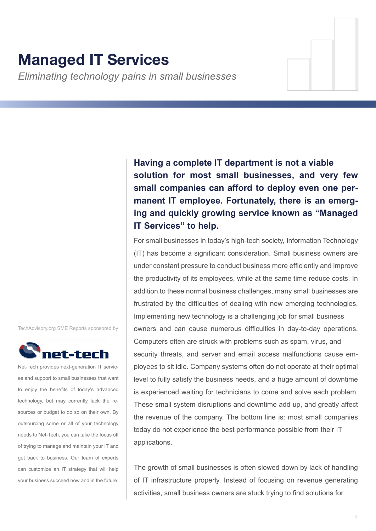# **Managed IT Services**

*Eliminating technology pains in small businesses*

**Having a complete IT department is not a viable solution for most small businesses, and very few small companies can afford to deploy even one permanent IT employee. Fortunately, there is an emerging and quickly growing service known as "Managed IT Services" to help.**

For small businesses in today's high-tech society, Information Technology (IT) has become a significant consideration. Small business owners are under constant pressure to conduct business more efficiently and improve the productivity of its employees, while at the same time reduce costs. In addition to these normal business challenges, many small businesses are frustrated by the difficulties of dealing with new emerging technologies. Implementing new technology is a challenging job for small business owners and can cause numerous difficulties in day-to-day operations. Computers often are struck with problems such as spam, virus, and security threats, and server and email access malfunctions cause employees to sit idle. Company systems often do not operate at their optimal level to fully satisfy the business needs, and a huge amount of downtime is experienced waiting for technicians to come and solve each problem. These small system disruptions and downtime add up, and greatly affect the revenue of the company. The bottom line is: most small companies today do not experience the best performance possible from their IT applications.

The growth of small businesses is often slowed down by lack of handling of IT infrastructure properly. Instead of focusing on revenue generating activities, small business owners are stuck trying to find solutions for

TechAdvisory.org SME Reports sponsored by



Net-Tech provides next-generation IT services and support to small businesses that want to enjoy the benefits of today's advanced technology, but may currently lack the resources or budget to do so on their own. By outsourcing some or all of your technology needs to Net-Tech, you can take the focus off of trying to manage and maintain your IT and get back to business. Our team of experts can customize an IT strategy that will help your business succeed now and in the future.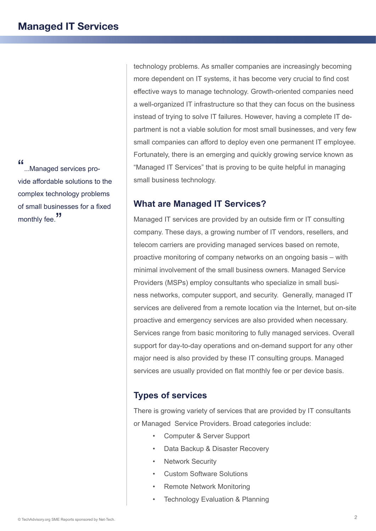"...Managed services provide affordable solutions to the complex technology problems of small businesses for a fixed monthly fee.<sup>"</sup>

technology problems. As smaller companies are increasingly becoming more dependent on IT systems, it has become very crucial to find cost effective ways to manage technology. Growth-oriented companies need a well-organized IT infrastructure so that they can focus on the business instead of trying to solve IT failures. However, having a complete IT department is not a viable solution for most small businesses, and very few small companies can afford to deploy even one permanent IT employee. Fortunately, there is an emerging and quickly growing service known as "Managed IT Services" that is proving to be quite helpful in managing small business technology.

## **What are Managed IT Services?**

Managed IT services are provided by an outside firm or IT consulting company. These days, a growing number of IT vendors, resellers, and telecom carriers are providing managed services based on remote, proactive monitoring of company networks on an ongoing basis – with minimal involvement of the small business owners. Managed Service Providers (MSPs) employ consultants who specialize in small business networks, computer support, and security. Generally, managed IT services are delivered from a remote location via the Internet, but on-site proactive and emergency services are also provided when necessary. Services range from basic monitoring to fully managed services. Overall support for day-to-day operations and on-demand support for any other major need is also provided by these IT consulting groups. Managed services are usually provided on flat monthly fee or per device basis.

# **Types of services**

There is growing variety of services that are provided by IT consultants or Managed Service Providers. Broad categories include:

- Computer & Server Support
- Data Backup & Disaster Recovery
- **Network Security**
- Custom Software Solutions
- Remote Network Monitoring
- **Technology Evaluation & Planning**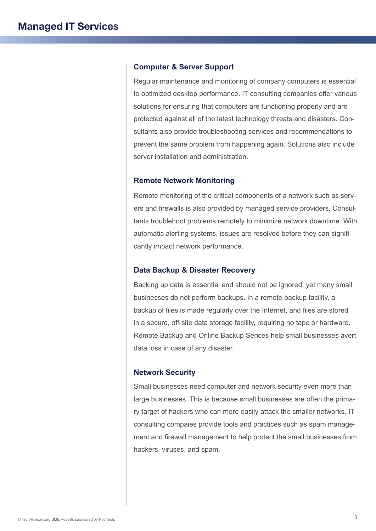#### **Computer & Server Support**

Regular maintenance and monitoring of company computers is essential to optimized desktop performance. IT consulting companies offer various solutions for ensuring that computers are functioning properly and are protected against all of the latest technology threats and disasters. Consultants also provide troubleshooting services and recommendations to prevent the same problem from happening again. Solutions also include server installation and administration.

### **Remote Network Monitoring**

Remote monitoring of the critical components of a network such as servers and firewalls is also provided by managed service providers. Consultants troublehoot problems remotely to minimize network downtime. With automatic alerting systems, issues are resolved before they can significantly impact network performance.

#### **Data Backup & Disaster Recovery**

Backing up data is essential and should not be ignored, yet many small businesses do not perform backups. In a remote backup facility, a backup of files is made regularly over the Internet, and files are stored in a secure, off-site data storage facility, requiring no tape or hardware. Remote Backup and Online Backup Serices help small businesses avert data loss in case of any disaster.

### **Network Security**

Small businesses need computer and network security even more than large businesses. This is because small businesses are often the primary target of hackers who can more easily attack the smaller networks. IT consulting compaies provide tools and practices such as spam management and firewall management to help protect the small businesses from hackers, viruses, and spam.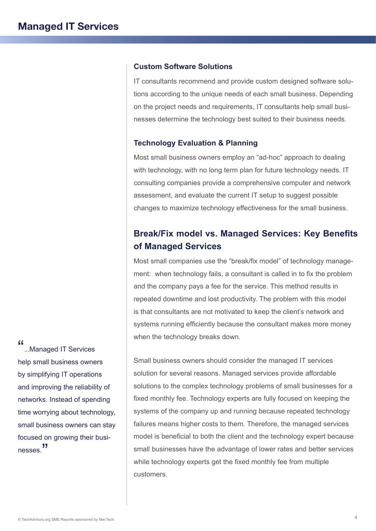#### **Custom Software Solutions**

IT consultants recommend and provide custom designed software solutions according to the unique needs of each small business. Depending on the project needs and requirements, IT consultants help small businesses determine the technology best suited to their business needs.

#### **Technology Evaluation & Planning**

Most small business owners employ an "ad-hoc" approach to dealing with technology, with no long term plan for future technology needs. IT consulting companies provide a comprehensive computer and network assessment, and evaluate the current IT setup to suggest possible changes to maximize technology effectiveness for the small business.

# **Break/Fix model vs. Managed Services: Key Benefits of Managed Services**

Most small companies use the "break/fix model" of technology management: when technology fails, a consultant is called in to fix the problem and the company pays a fee for the service. This method results in repeated downtime and lost productivity. The problem with this model is that consultants are not motivated to keep the client's network and systems running efficiently because the consultant makes more money when the technology breaks down.

Small business owners should consider the managed IT services solution for several reasons. Managed services provide affordable solutions to the complex technology problems of small businesses for a fixed monthly fee. Technology experts are fully focused on keeping the systems of the company up and running because repeated technology failures means higher costs to them. Therefore, the managed services model is beneficial to both the client and the technology expert because small businesses have the advantage of lower rates and better services while technology experts get the fixed monthly fee from multiple customers.

"...Managed IT Services help small business owners by simplifying IT operations and improving the reliability of networks. Instead of spending time worrying about technology, small business owners can stay focused on growing their businesses.<sup>"</sup>